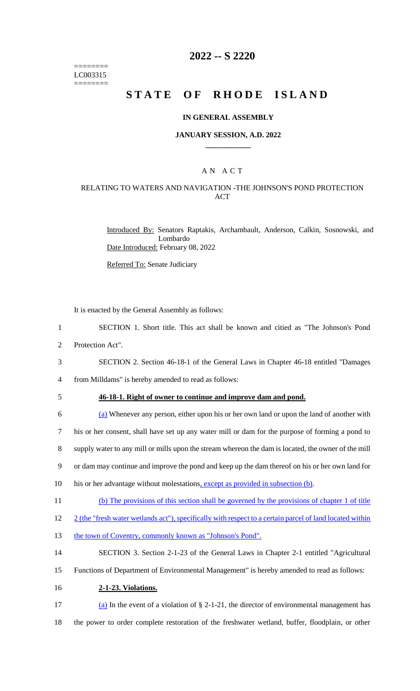======== LC003315 ========

# **2022 -- S 2220**

# **STATE OF RHODE ISLAND**

#### **IN GENERAL ASSEMBLY**

#### **JANUARY SESSION, A.D. 2022 \_\_\_\_\_\_\_\_\_\_\_\_**

## A N A C T

### RELATING TO WATERS AND NAVIGATION -THE JOHNSON'S POND PROTECTION ACT

Introduced By: Senators Raptakis, Archambault, Anderson, Calkin, Sosnowski, and Lombardo Date Introduced: February 08, 2022

Referred To: Senate Judiciary

It is enacted by the General Assembly as follows:

- 1 SECTION 1. Short title. This act shall be known and citied as "The Johnson's Pond 2 Protection Act".
- 3 SECTION 2. Section 46-18-1 of the General Laws in Chapter 46-18 entitled "Damages

4 from Milldams" is hereby amended to read as follows:

#### 5 **46-18-1. Right of owner to continue and improve dam and pond.**

 (a) Whenever any person, either upon his or her own land or upon the land of another with his or her consent, shall have set up any water mill or dam for the purpose of forming a pond to supply water to any mill or mills upon the stream whereon the dam is located, the owner of the mill or dam may continue and improve the pond and keep up the dam thereof on his or her own land for 10 his or her advantage without molestations, except as provided in subsection (b). (b) The provisions of this section shall be governed by the provisions of chapter 1 of title

12 2 (the "fresh water wetlands act"), specifically with respect to a certain parcel of land located within

- 13 the town of Coventry, commonly known as "Johnson's Pond".
- 14 SECTION 3. Section 2-1-23 of the General Laws in Chapter 2-1 entitled "Agricultural
- 15 Functions of Department of Environmental Management" is hereby amended to read as follows:
- 16 **2-1-23. Violations.**
- 17 (a) In the event of a violation of § 2-1-21, the director of environmental management has 18 the power to order complete restoration of the freshwater wetland, buffer, floodplain, or other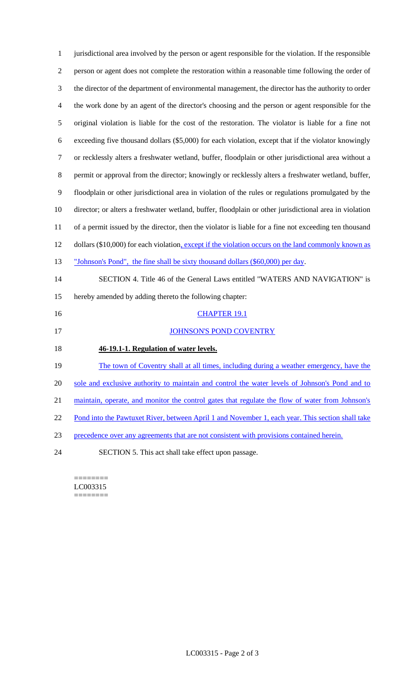jurisdictional area involved by the person or agent responsible for the violation. If the responsible person or agent does not complete the restoration within a reasonable time following the order of the director of the department of environmental management, the director has the authority to order the work done by an agent of the director's choosing and the person or agent responsible for the original violation is liable for the cost of the restoration. The violator is liable for a fine not exceeding five thousand dollars (\$5,000) for each violation, except that if the violator knowingly or recklessly alters a freshwater wetland, buffer, floodplain or other jurisdictional area without a permit or approval from the director; knowingly or recklessly alters a freshwater wetland, buffer, floodplain or other jurisdictional area in violation of the rules or regulations promulgated by the director; or alters a freshwater wetland, buffer, floodplain or other jurisdictional area in violation of a permit issued by the director, then the violator is liable for a fine not exceeding ten thousand 12 dollars (\$10,000) for each violation, except if the violation occurs on the land commonly known as 13 "Johnson's Pond", the fine shall be sixty thousand dollars (\$60,000) per day. SECTION 4. Title 46 of the General Laws entitled "WATERS AND NAVIGATION" is hereby amended by adding thereto the following chapter: 16 CHAPTER 19.1 17 JOHNSON'S POND COVENTRY **46-19.1-1. Regulation of water levels.** 19 The town of Coventry shall at all times, including during a weather emergency, have the 20 sole and exclusive authority to maintain and control the water levels of Johnson's Pond and to maintain, operate, and monitor the control gates that regulate the flow of water from Johnson's 22 Pond into the Pawtuxet River, between April 1 and November 1, each year. This section shall take precedence over any agreements that are not consistent with provisions contained herein. SECTION 5. This act shall take effect upon passage.

======== LC003315 ========